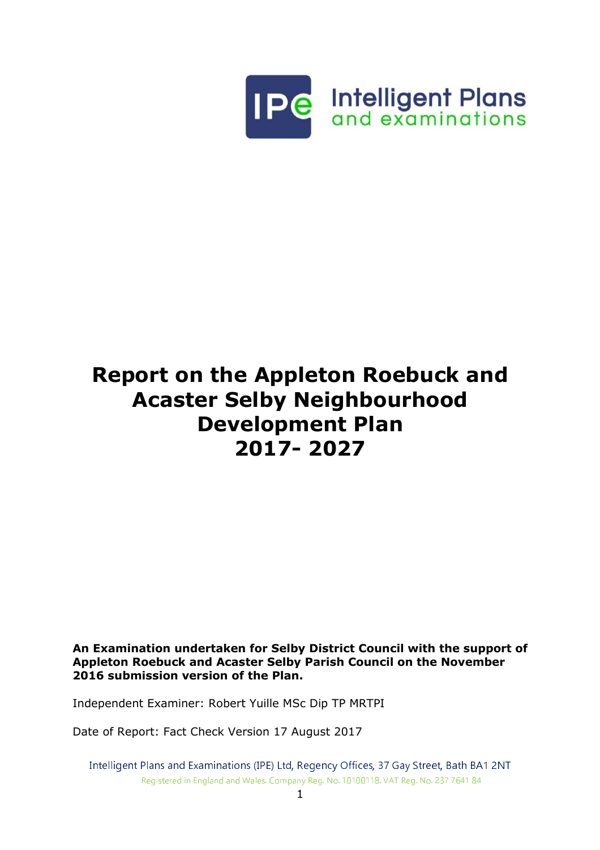

# Report on the Appleton Roebuck and Acaster Selby Neighbourhood Development Plan 2017- 2027

An Examination undertaken for Selby District Council with the support of Appleton Roebuck and Acaster Selby Parish Council on the November 2016 submission version of the Plan.

Independent Examiner: Robert Yuille MSc Dip TP MRTPI

Date of Report: Fact Check Version 17 August 2017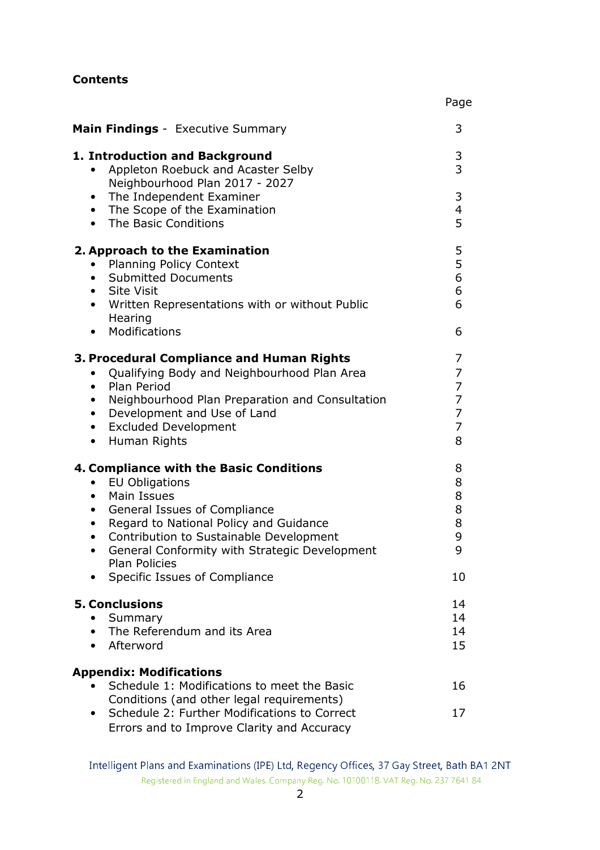## Contents

| Main Findings - Executive Summary                                                                                                                                                                                                                                                                                                                                                    | 3                                            |
|--------------------------------------------------------------------------------------------------------------------------------------------------------------------------------------------------------------------------------------------------------------------------------------------------------------------------------------------------------------------------------------|----------------------------------------------|
| 1. Introduction and Background<br>Appleton Roebuck and Acaster Selby<br>$\bullet$<br>Neighbourhood Plan 2017 - 2027                                                                                                                                                                                                                                                                  | 3<br>3                                       |
| The Independent Examiner<br>$\bullet$<br>The Scope of the Examination<br>$\bullet$<br>The Basic Conditions<br>$\bullet$                                                                                                                                                                                                                                                              | 3<br>4<br>5                                  |
| 2. Approach to the Examination<br><b>Planning Policy Context</b><br><b>Submitted Documents</b><br>$\bullet$<br>• Site Visit<br>Written Representations with or without Public<br>$\bullet$<br>Hearing                                                                                                                                                                                | 5<br>5<br>6<br>6<br>6                        |
| Modifications<br>$\bullet$                                                                                                                                                                                                                                                                                                                                                           | 6                                            |
| 3. Procedural Compliance and Human Rights<br>Qualifying Body and Neighbourhood Plan Area<br>$\bullet$<br>Plan Period<br>$\bullet$<br>Neighbourhood Plan Preparation and Consultation<br>$\bullet$<br>Development and Use of Land<br>$\bullet$<br><b>Excluded Development</b><br>$\bullet$<br>Human Rights<br>$\bullet$                                                               | 7<br>7<br>7<br>7<br>$\overline{7}$<br>7<br>8 |
| 4. Compliance with the Basic Conditions<br><b>EU Obligations</b><br>$\bullet$<br><b>Main Issues</b><br>$\bullet$<br>General Issues of Compliance<br>٠<br>Regard to National Policy and Guidance<br>$\bullet$<br>Contribution to Sustainable Development<br>$\bullet$<br>General Conformity with Strategic Development<br>$\bullet$<br>Plan Policies<br>Specific Issues of Compliance | 8<br>8<br>8<br>8<br>8<br>9<br>9<br>10        |
| <b>5. Conclusions</b><br>Summary<br>The Referendum and its Area<br>Afterword<br>$\bullet$                                                                                                                                                                                                                                                                                            | 14<br>14<br>14<br>15                         |
| <b>Appendix: Modifications</b><br>Schedule 1: Modifications to meet the Basic<br>Conditions (and other legal requirements)<br>Schedule 2: Further Modifications to Correct<br>Errors and to Improve Clarity and Accuracy                                                                                                                                                             | 16<br>17                                     |

Page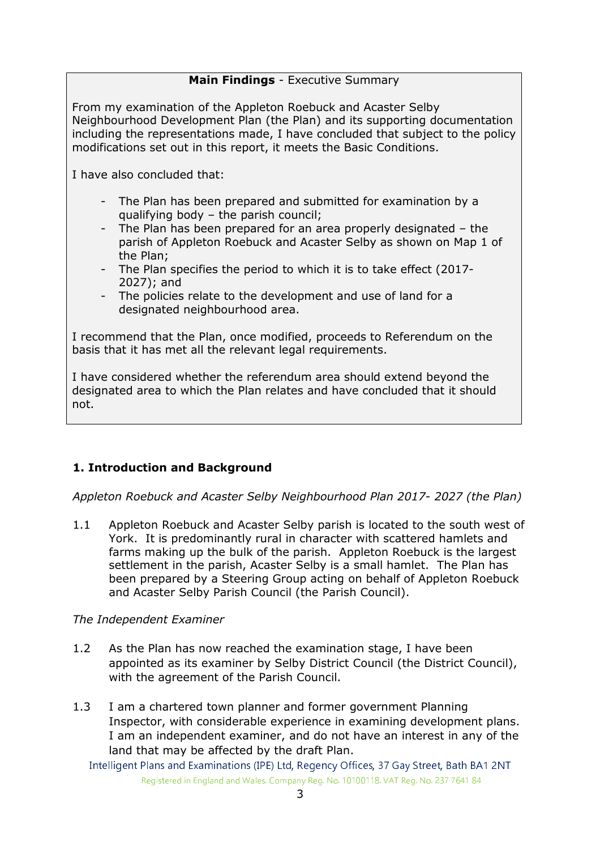## Main Findings - Executive Summary

From my examination of the Appleton Roebuck and Acaster Selby Neighbourhood Development Plan (the Plan) and its supporting documentation including the representations made, I have concluded that subject to the policy modifications set out in this report, it meets the Basic Conditions.

I have also concluded that:

- The Plan has been prepared and submitted for examination by a qualifying body – the parish council;
- The Plan has been prepared for an area properly designated the parish of Appleton Roebuck and Acaster Selby as shown on Map 1 of the Plan;
- The Plan specifies the period to which it is to take effect (2017- 2027); and
- The policies relate to the development and use of land for a designated neighbourhood area.

I recommend that the Plan, once modified, proceeds to Referendum on the basis that it has met all the relevant legal requirements.

I have considered whether the referendum area should extend beyond the designated area to which the Plan relates and have concluded that it should not.

## 1. Introduction and Background

Appleton Roebuck and Acaster Selby Neighbourhood Plan 2017- 2027 (the Plan)

1.1 Appleton Roebuck and Acaster Selby parish is located to the south west of York. It is predominantly rural in character with scattered hamlets and farms making up the bulk of the parish. Appleton Roebuck is the largest settlement in the parish, Acaster Selby is a small hamlet. The Plan has been prepared by a Steering Group acting on behalf of Appleton Roebuck and Acaster Selby Parish Council (the Parish Council).

## The Independent Examiner

- 1.2 As the Plan has now reached the examination stage, I have been appointed as its examiner by Selby District Council (the District Council), with the agreement of the Parish Council.
- 1.3 I am a chartered town planner and former government Planning Inspector, with considerable experience in examining development plans. I am an independent examiner, and do not have an interest in any of the land that may be affected by the draft Plan.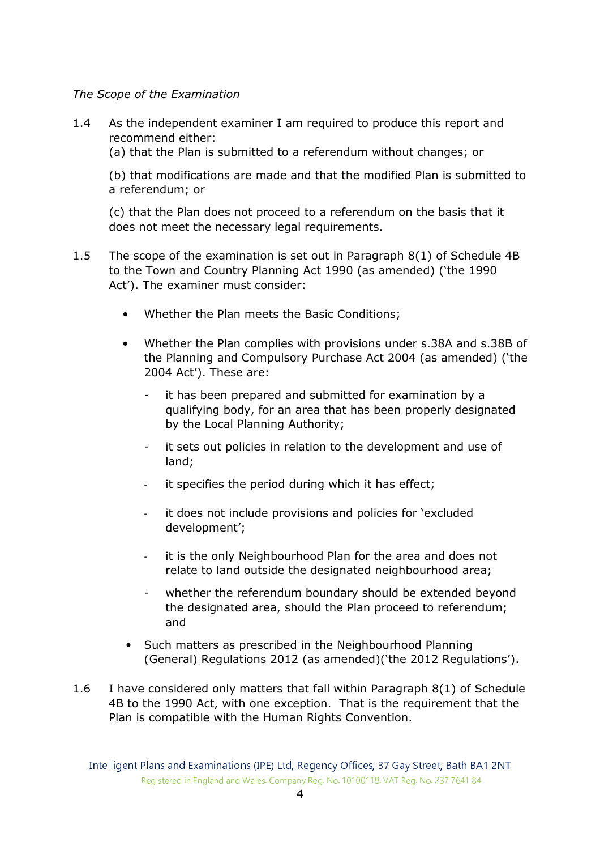The Scope of the Examination

1.4 As the independent examiner I am required to produce this report and recommend either:

(a) that the Plan is submitted to a referendum without changes; or

 (b) that modifications are made and that the modified Plan is submitted to a referendum; or

(c) that the Plan does not proceed to a referendum on the basis that it does not meet the necessary legal requirements.

- 1.5 The scope of the examination is set out in Paragraph 8(1) of Schedule 4B to the Town and Country Planning Act 1990 (as amended) ('the 1990 Act'). The examiner must consider:
	- Whether the Plan meets the Basic Conditions;
	- Whether the Plan complies with provisions under s.38A and s.38B of the Planning and Compulsory Purchase Act 2004 (as amended) ('the 2004 Act'). These are:
		- it has been prepared and submitted for examination by a qualifying body, for an area that has been properly designated by the Local Planning Authority;
		- it sets out policies in relation to the development and use of land;
		- it specifies the period during which it has effect;
		- it does not include provisions and policies for 'excluded development';
		- it is the only Neighbourhood Plan for the area and does not relate to land outside the designated neighbourhood area;
		- whether the referendum boundary should be extended beyond the designated area, should the Plan proceed to referendum; and
	- Such matters as prescribed in the Neighbourhood Planning (General) Regulations 2012 (as amended)('the 2012 Regulations').
- 1.6 I have considered only matters that fall within Paragraph 8(1) of Schedule 4B to the 1990 Act, with one exception. That is the requirement that the Plan is compatible with the Human Rights Convention.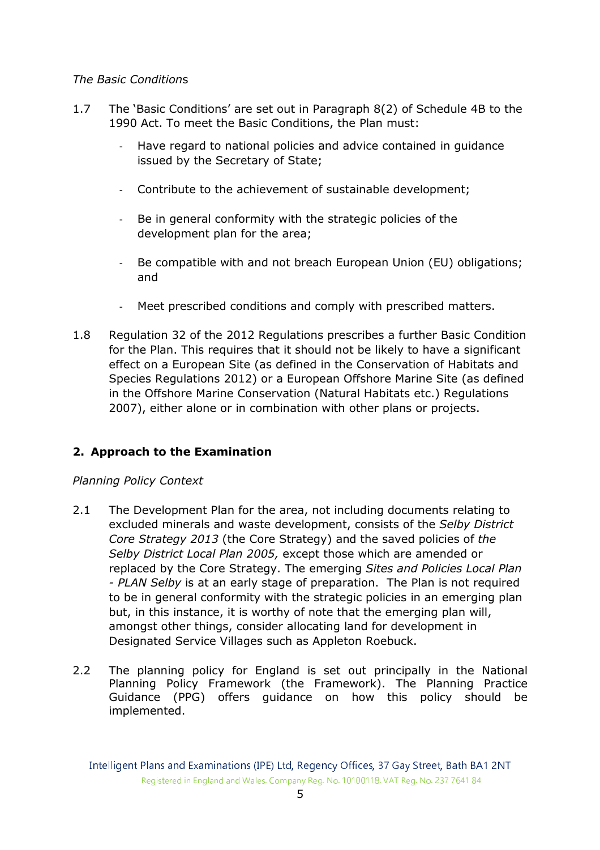## The Basic Conditions

- 1.7 The 'Basic Conditions' are set out in Paragraph 8(2) of Schedule 4B to the 1990 Act. To meet the Basic Conditions, the Plan must:
	- Have regard to national policies and advice contained in guidance issued by the Secretary of State;
	- Contribute to the achievement of sustainable development;
	- Be in general conformity with the strategic policies of the development plan for the area;
	- Be compatible with and not breach European Union (EU) obligations; and
	- Meet prescribed conditions and comply with prescribed matters.
- 1.8 Regulation 32 of the 2012 Regulations prescribes a further Basic Condition for the Plan. This requires that it should not be likely to have a significant effect on a European Site (as defined in the Conservation of Habitats and Species Regulations 2012) or a European Offshore Marine Site (as defined in the Offshore Marine Conservation (Natural Habitats etc.) Regulations 2007), either alone or in combination with other plans or projects.

# 2. Approach to the Examination

## Planning Policy Context

- 2.1 The Development Plan for the area, not including documents relating to excluded minerals and waste development, consists of the Selby District Core Strategy 2013 (the Core Strategy) and the saved policies of the Selby District Local Plan 2005, except those which are amended or replaced by the Core Strategy. The emerging Sites and Policies Local Plan - PLAN Selby is at an early stage of preparation. The Plan is not required to be in general conformity with the strategic policies in an emerging plan but, in this instance, it is worthy of note that the emerging plan will, amongst other things, consider allocating land for development in Designated Service Villages such as Appleton Roebuck.
- 2.2 The planning policy for England is set out principally in the National Planning Policy Framework (the Framework). The Planning Practice Guidance (PPG) offers guidance on how this policy should be implemented.

Intelligent Plans and Examinations (IPE) Ltd, Regency Offices, 37 Gay Street, Bath BA1 2NT Registered in England and Wales. Company Reg. No. 10100118. VAT Reg. No. 237 7641 84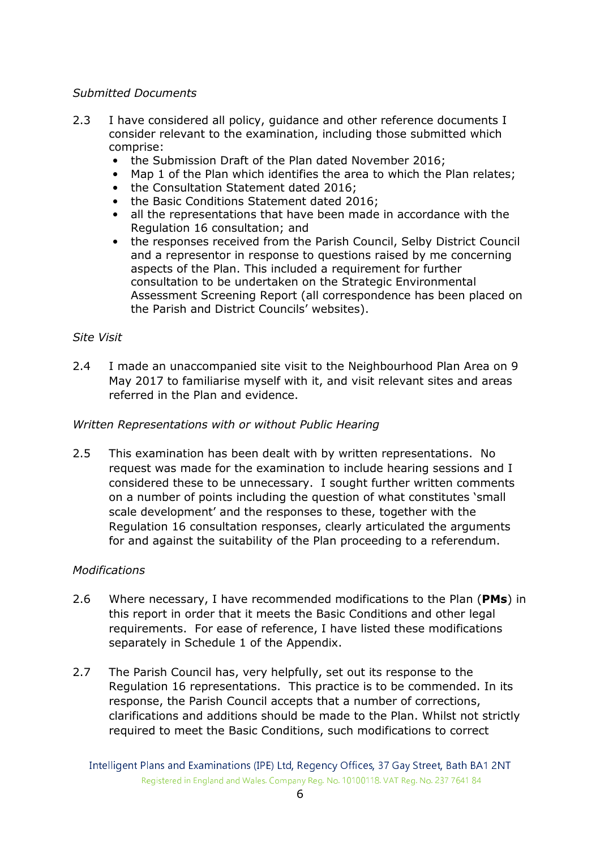## Submitted Documents

- 2.3 I have considered all policy, quidance and other reference documents I consider relevant to the examination, including those submitted which comprise:
	- the Submission Draft of the Plan dated November 2016;
	- Map 1 of the Plan which identifies the area to which the Plan relates;
	- the Consultation Statement dated 2016;
	- the Basic Conditions Statement dated 2016;
	- all the representations that have been made in accordance with the Regulation 16 consultation; and
	- the responses received from the Parish Council, Selby District Council and a representor in response to questions raised by me concerning aspects of the Plan. This included a requirement for further consultation to be undertaken on the Strategic Environmental Assessment Screening Report (all correspondence has been placed on the Parish and District Councils' websites).

## Site Visit

2.4 I made an unaccompanied site visit to the Neighbourhood Plan Area on 9 May 2017 to familiarise myself with it, and visit relevant sites and areas referred in the Plan and evidence.

#### Written Representations with or without Public Hearing

2.5 This examination has been dealt with by written representations. No request was made for the examination to include hearing sessions and I considered these to be unnecessary. I sought further written comments on a number of points including the question of what constitutes 'small scale development' and the responses to these, together with the Regulation 16 consultation responses, clearly articulated the arguments for and against the suitability of the Plan proceeding to a referendum.

## Modifications

- 2.6 Where necessary, I have recommended modifications to the Plan (PMs) in this report in order that it meets the Basic Conditions and other legal requirements. For ease of reference, I have listed these modifications separately in Schedule 1 of the Appendix.
- 2.7 The Parish Council has, very helpfully, set out its response to the Regulation 16 representations. This practice is to be commended. In its response, the Parish Council accepts that a number of corrections, clarifications and additions should be made to the Plan. Whilst not strictly required to meet the Basic Conditions, such modifications to correct

Intelligent Plans and Examinations (IPE) Ltd, Regency Offices, 37 Gay Street, Bath BA1 2NT Registered in England and Wales. Company Reg. No. 10100118. VAT Reg. No. 237 7641 84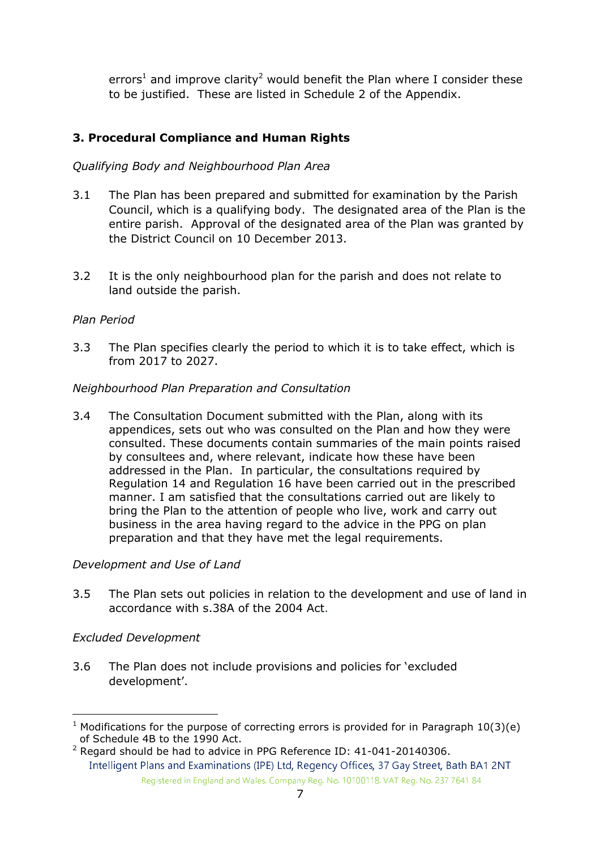errors<sup>1</sup> and improve clarity<sup>2</sup> would benefit the Plan where I consider these to be justified. These are listed in Schedule 2 of the Appendix.

## 3. Procedural Compliance and Human Rights

## Qualifying Body and Neighbourhood Plan Area

- 3.1 The Plan has been prepared and submitted for examination by the Parish Council, which is a qualifying body. The designated area of the Plan is the entire parish. Approval of the designated area of the Plan was granted by the District Council on 10 December 2013.
- 3.2 It is the only neighbourhood plan for the parish and does not relate to land outside the parish.

## Plan Period

3.3 The Plan specifies clearly the period to which it is to take effect, which is from 2017 to 2027.

## Neighbourhood Plan Preparation and Consultation

3.4 The Consultation Document submitted with the Plan, along with its appendices, sets out who was consulted on the Plan and how they were consulted. These documents contain summaries of the main points raised by consultees and, where relevant, indicate how these have been addressed in the Plan. In particular, the consultations required by Regulation 14 and Regulation 16 have been carried out in the prescribed manner. I am satisfied that the consultations carried out are likely to bring the Plan to the attention of people who live, work and carry out business in the area having regard to the advice in the PPG on plan preparation and that they have met the legal requirements.

## Development and Use of Land

3.5 The Plan sets out policies in relation to the development and use of land in accordance with s.38A of the 2004 Act.

## Excluded Development

3.6 The Plan does not include provisions and policies for 'excluded development'.

 1 Modifications for the purpose of correcting errors is provided for in Paragraph 10(3)(e) of Schedule 4B to the 1990 Act.

Intelligent Plans and Examinations (IPE) Ltd, Regency Offices, 37 Gay Street, Bath BA1 2NT Registered in England and Wales. Company Reg. No. 10100118. VAT Reg. No. 237 7641 84  $2$  Regard should be had to advice in PPG Reference ID: 41-041-20140306.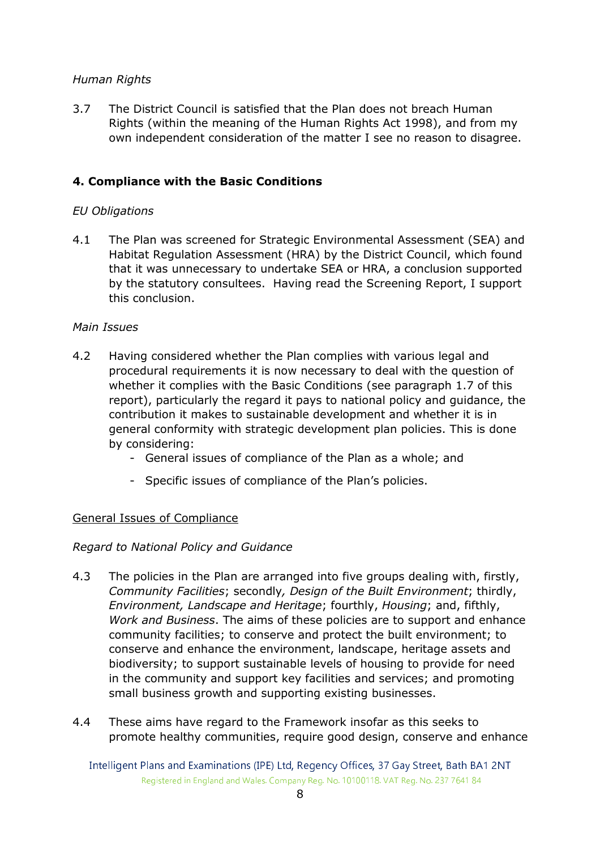## Human Rights

3.7 The District Council is satisfied that the Plan does not breach Human Rights (within the meaning of the Human Rights Act 1998), and from my own independent consideration of the matter I see no reason to disagree.

## 4. Compliance with the Basic Conditions

## EU Obligations

4.1 The Plan was screened for Strategic Environmental Assessment (SEA) and Habitat Regulation Assessment (HRA) by the District Council, which found that it was unnecessary to undertake SEA or HRA, a conclusion supported by the statutory consultees. Having read the Screening Report, I support this conclusion.

## Main Issues

- 4.2 Having considered whether the Plan complies with various legal and procedural requirements it is now necessary to deal with the question of whether it complies with the Basic Conditions (see paragraph 1.7 of this report), particularly the regard it pays to national policy and guidance, the contribution it makes to sustainable development and whether it is in general conformity with strategic development plan policies. This is done by considering:
	- General issues of compliance of the Plan as a whole; and
	- Specific issues of compliance of the Plan's policies.

## General Issues of Compliance

## Regard to National Policy and Guidance

- 4.3 The policies in the Plan are arranged into five groups dealing with, firstly, Community Facilities; secondly, Design of the Built Environment; thirdly, Environment, Landscape and Heritage; fourthly, Housing; and, fifthly, Work and Business. The aims of these policies are to support and enhance community facilities; to conserve and protect the built environment; to conserve and enhance the environment, landscape, heritage assets and biodiversity; to support sustainable levels of housing to provide for need in the community and support key facilities and services; and promoting small business growth and supporting existing businesses.
- 4.4 These aims have regard to the Framework insofar as this seeks to promote healthy communities, require good design, conserve and enhance

Intelligent Plans and Examinations (IPE) Ltd, Regency Offices, 37 Gay Street, Bath BA1 2NT Registered in England and Wales. Company Reg. No. 10100118. VAT Reg. No. 237 7641 84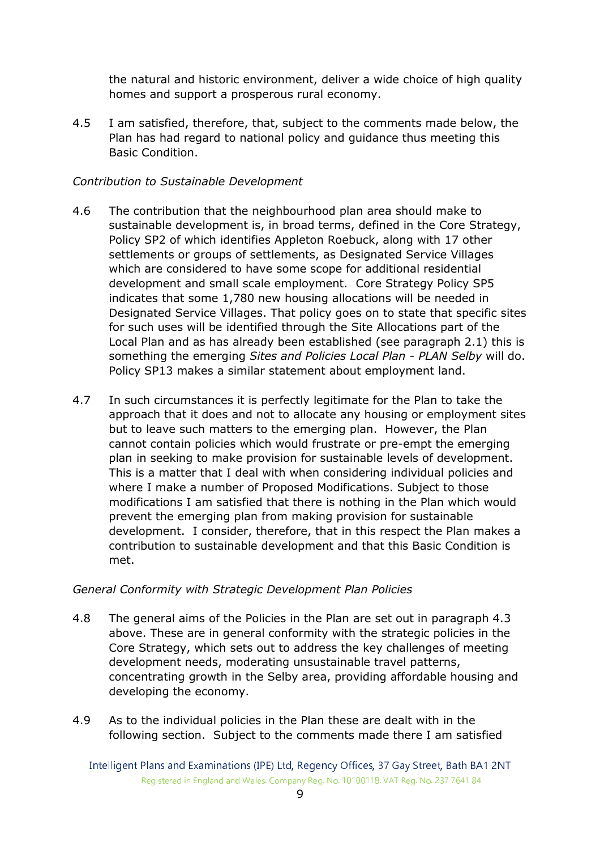the natural and historic environment, deliver a wide choice of high quality homes and support a prosperous rural economy.

4.5 I am satisfied, therefore, that, subject to the comments made below, the Plan has had regard to national policy and guidance thus meeting this Basic Condition.

## Contribution to Sustainable Development

- 4.6 The contribution that the neighbourhood plan area should make to sustainable development is, in broad terms, defined in the Core Strategy, Policy SP2 of which identifies Appleton Roebuck, along with 17 other settlements or groups of settlements, as Designated Service Villages which are considered to have some scope for additional residential development and small scale employment. Core Strategy Policy SP5 indicates that some 1,780 new housing allocations will be needed in Designated Service Villages. That policy goes on to state that specific sites for such uses will be identified through the Site Allocations part of the Local Plan and as has already been established (see paragraph 2.1) this is something the emerging Sites and Policies Local Plan - PLAN Selby will do. Policy SP13 makes a similar statement about employment land.
- 4.7 In such circumstances it is perfectly legitimate for the Plan to take the approach that it does and not to allocate any housing or employment sites but to leave such matters to the emerging plan. However, the Plan cannot contain policies which would frustrate or pre-empt the emerging plan in seeking to make provision for sustainable levels of development. This is a matter that I deal with when considering individual policies and where I make a number of Proposed Modifications. Subject to those modifications I am satisfied that there is nothing in the Plan which would prevent the emerging plan from making provision for sustainable development. I consider, therefore, that in this respect the Plan makes a contribution to sustainable development and that this Basic Condition is met.

## General Conformity with Strategic Development Plan Policies

- 4.8 The general aims of the Policies in the Plan are set out in paragraph 4.3 above. These are in general conformity with the strategic policies in the Core Strategy, which sets out to address the key challenges of meeting development needs, moderating unsustainable travel patterns, concentrating growth in the Selby area, providing affordable housing and developing the economy.
- 4.9 As to the individual policies in the Plan these are dealt with in the following section. Subject to the comments made there I am satisfied

Intelligent Plans and Examinations (IPE) Ltd, Regency Offices, 37 Gay Street, Bath BA1 2NT Registered in England and Wales. Company Reg. No. 10100118. VAT Reg. No. 237 7641 84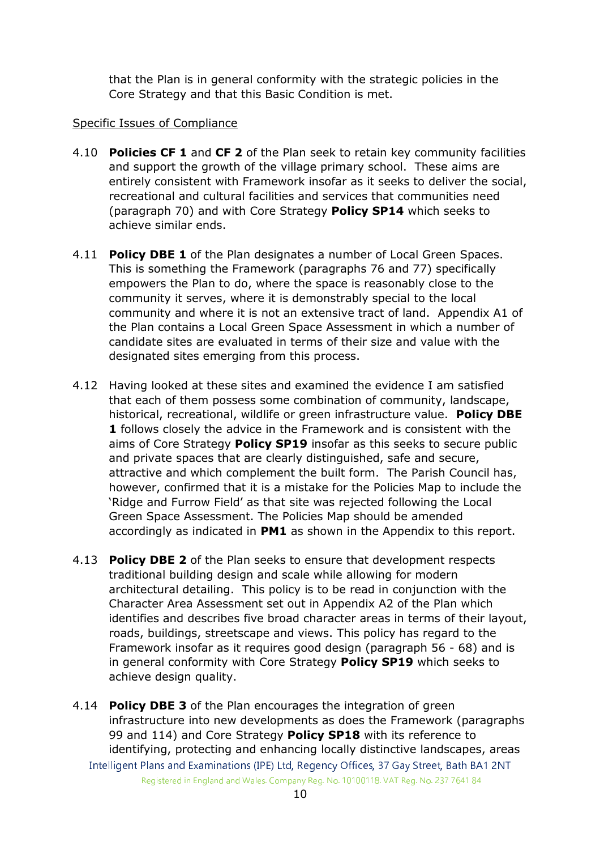that the Plan is in general conformity with the strategic policies in the Core Strategy and that this Basic Condition is met.

## Specific Issues of Compliance

- 4.10 Policies CF 1 and CF 2 of the Plan seek to retain key community facilities and support the growth of the village primary school. These aims are entirely consistent with Framework insofar as it seeks to deliver the social, recreational and cultural facilities and services that communities need (paragraph 70) and with Core Strategy Policy SP14 which seeks to achieve similar ends.
- 4.11 **Policy DBE 1** of the Plan designates a number of Local Green Spaces. This is something the Framework (paragraphs 76 and 77) specifically empowers the Plan to do, where the space is reasonably close to the community it serves, where it is demonstrably special to the local community and where it is not an extensive tract of land. Appendix A1 of the Plan contains a Local Green Space Assessment in which a number of candidate sites are evaluated in terms of their size and value with the designated sites emerging from this process.
- 4.12 Having looked at these sites and examined the evidence I am satisfied that each of them possess some combination of community, landscape, historical, recreational, wildlife or green infrastructure value. Policy DBE 1 follows closely the advice in the Framework and is consistent with the aims of Core Strategy **Policy SP19** insofar as this seeks to secure public and private spaces that are clearly distinguished, safe and secure, attractive and which complement the built form. The Parish Council has, however, confirmed that it is a mistake for the Policies Map to include the 'Ridge and Furrow Field' as that site was rejected following the Local Green Space Assessment. The Policies Map should be amended accordingly as indicated in **PM1** as shown in the Appendix to this report.
- 4.13 Policy DBE 2 of the Plan seeks to ensure that development respects traditional building design and scale while allowing for modern architectural detailing. This policy is to be read in conjunction with the Character Area Assessment set out in Appendix A2 of the Plan which identifies and describes five broad character areas in terms of their layout, roads, buildings, streetscape and views. This policy has regard to the Framework insofar as it requires good design (paragraph 56 - 68) and is in general conformity with Core Strategy **Policy SP19** which seeks to achieve design quality.
- Intelligent Plans and Examinations (IPE) Ltd, Regency Offices, 37 Gay Street, Bath BA1 2NT Registered in England and Wales. Company Reg. No. 10100118. VAT Reg. No. 237 7641 84 4.14 **Policy DBE 3** of the Plan encourages the integration of green infrastructure into new developments as does the Framework (paragraphs 99 and 114) and Core Strategy Policy SP18 with its reference to identifying, protecting and enhancing locally distinctive landscapes, areas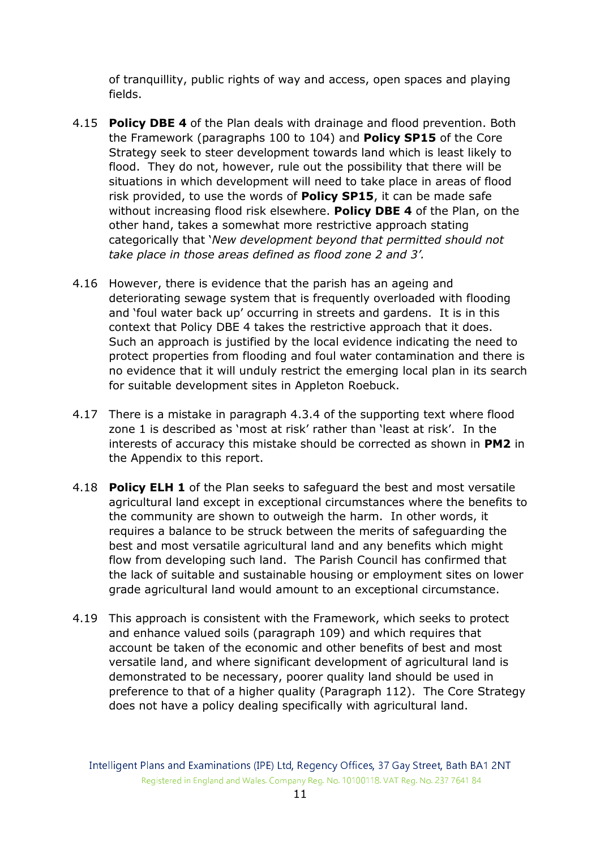of tranquillity, public rights of way and access, open spaces and playing fields.

- 4.15 Policy DBE 4 of the Plan deals with drainage and flood prevention. Both the Framework (paragraphs 100 to 104) and Policy SP15 of the Core Strategy seek to steer development towards land which is least likely to flood. They do not, however, rule out the possibility that there will be situations in which development will need to take place in areas of flood risk provided, to use the words of Policy SP15, it can be made safe without increasing flood risk elsewhere. **Policy DBE 4** of the Plan, on the other hand, takes a somewhat more restrictive approach stating categorically that 'New development beyond that permitted should not take place in those areas defined as flood zone 2 and 3'.
- 4.16 However, there is evidence that the parish has an ageing and deteriorating sewage system that is frequently overloaded with flooding and 'foul water back up' occurring in streets and gardens. It is in this context that Policy DBE 4 takes the restrictive approach that it does. Such an approach is justified by the local evidence indicating the need to protect properties from flooding and foul water contamination and there is no evidence that it will unduly restrict the emerging local plan in its search for suitable development sites in Appleton Roebuck.
- 4.17 There is a mistake in paragraph 4.3.4 of the supporting text where flood zone 1 is described as 'most at risk' rather than 'least at risk'. In the interests of accuracy this mistake should be corrected as shown in PM2 in the Appendix to this report.
- 4.18 **Policy ELH 1** of the Plan seeks to safeguard the best and most versatile agricultural land except in exceptional circumstances where the benefits to the community are shown to outweigh the harm. In other words, it requires a balance to be struck between the merits of safeguarding the best and most versatile agricultural land and any benefits which might flow from developing such land. The Parish Council has confirmed that the lack of suitable and sustainable housing or employment sites on lower grade agricultural land would amount to an exceptional circumstance.
- 4.19 This approach is consistent with the Framework, which seeks to protect and enhance valued soils (paragraph 109) and which requires that account be taken of the economic and other benefits of best and most versatile land, and where significant development of agricultural land is demonstrated to be necessary, poorer quality land should be used in preference to that of a higher quality (Paragraph 112). The Core Strategy does not have a policy dealing specifically with agricultural land.

Intelligent Plans and Examinations (IPE) Ltd, Regency Offices, 37 Gay Street, Bath BA1 2NT Registered in England and Wales. Company Reg. No. 10100118. VAT Reg. No. 237 7641 84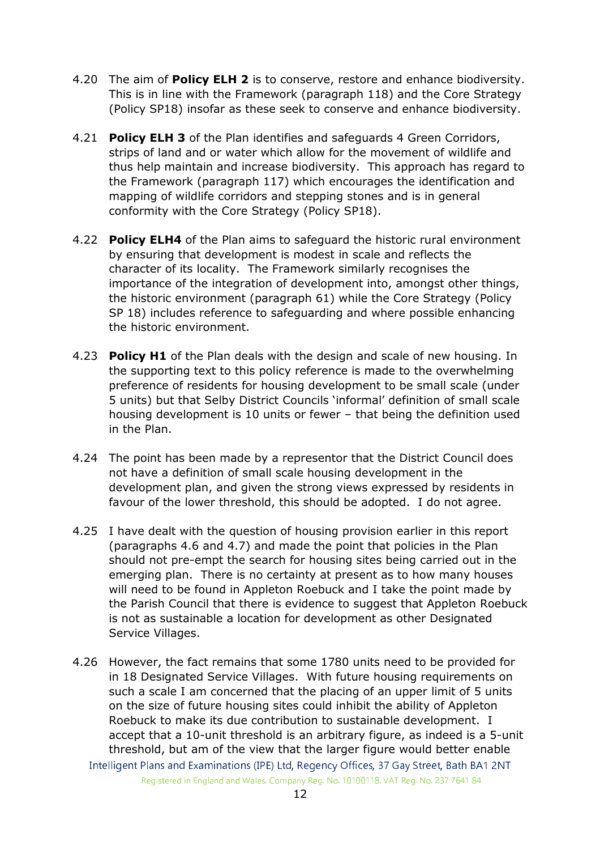- 4.20 The aim of **Policy ELH 2** is to conserve, restore and enhance biodiversity. This is in line with the Framework (paragraph 118) and the Core Strategy (Policy SP18) insofar as these seek to conserve and enhance biodiversity.
- 4.21 **Policy ELH 3** of the Plan identifies and safeguards 4 Green Corridors, strips of land and or water which allow for the movement of wildlife and thus help maintain and increase biodiversity. This approach has regard to the Framework (paragraph 117) which encourages the identification and mapping of wildlife corridors and stepping stones and is in general conformity with the Core Strategy (Policy SP18).
- 4.22 Policy ELH4 of the Plan aims to safeguard the historic rural environment by ensuring that development is modest in scale and reflects the character of its locality. The Framework similarly recognises the importance of the integration of development into, amongst other things, the historic environment (paragraph 61) while the Core Strategy (Policy SP 18) includes reference to safeguarding and where possible enhancing the historic environment.
- 4.23 **Policy H1** of the Plan deals with the design and scale of new housing. In the supporting text to this policy reference is made to the overwhelming preference of residents for housing development to be small scale (under 5 units) but that Selby District Councils 'informal' definition of small scale housing development is 10 units or fewer – that being the definition used in the Plan.
- 4.24 The point has been made by a representor that the District Council does not have a definition of small scale housing development in the development plan, and given the strong views expressed by residents in favour of the lower threshold, this should be adopted. I do not agree.
- 4.25 I have dealt with the question of housing provision earlier in this report (paragraphs 4.6 and 4.7) and made the point that policies in the Plan should not pre-empt the search for housing sites being carried out in the emerging plan. There is no certainty at present as to how many houses will need to be found in Appleton Roebuck and I take the point made by the Parish Council that there is evidence to suggest that Appleton Roebuck is not as sustainable a location for development as other Designated Service Villages.
- Intelligent Plans and Examinations (IPE) Ltd, Regency Offices, 37 Gay Street, Bath BA1 2NT Registered in England and Wales. Company Reg. No. 10100118. VAT Reg. No. 237 7641 84 4.26 However, the fact remains that some 1780 units need to be provided for in 18 Designated Service Villages. With future housing requirements on such a scale I am concerned that the placing of an upper limit of 5 units on the size of future housing sites could inhibit the ability of Appleton Roebuck to make its due contribution to sustainable development. I accept that a 10-unit threshold is an arbitrary figure, as indeed is a 5-unit threshold, but am of the view that the larger figure would better enable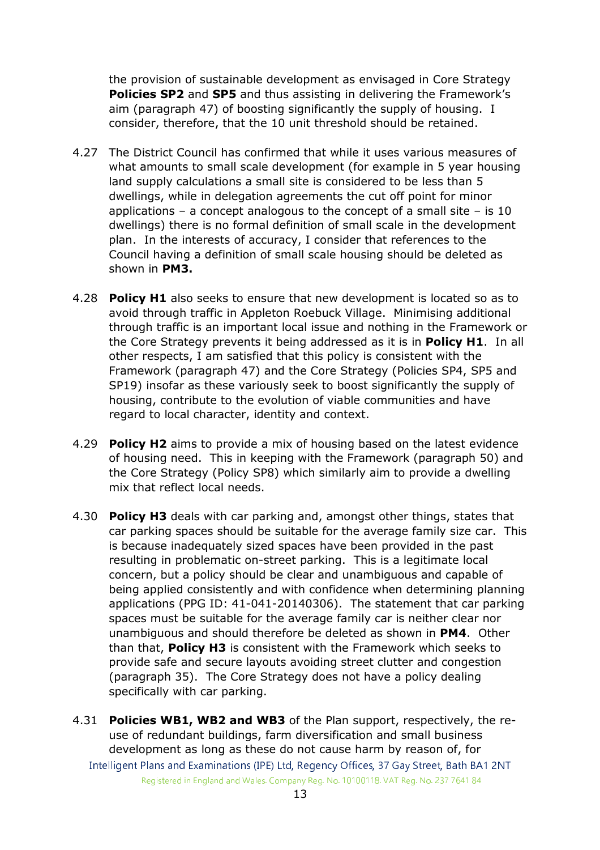the provision of sustainable development as envisaged in Core Strategy Policies SP2 and SP5 and thus assisting in delivering the Framework's aim (paragraph 47) of boosting significantly the supply of housing. I consider, therefore, that the 10 unit threshold should be retained.

- 4.27 The District Council has confirmed that while it uses various measures of what amounts to small scale development (for example in 5 year housing land supply calculations a small site is considered to be less than 5 dwellings, while in delegation agreements the cut off point for minor applications – a concept analogous to the concept of a small site – is  $10$ dwellings) there is no formal definition of small scale in the development plan. In the interests of accuracy, I consider that references to the Council having a definition of small scale housing should be deleted as shown in PM3.
- 4.28 Policy H1 also seeks to ensure that new development is located so as to avoid through traffic in Appleton Roebuck Village. Minimising additional through traffic is an important local issue and nothing in the Framework or the Core Strategy prevents it being addressed as it is in **Policy H1.** In all other respects, I am satisfied that this policy is consistent with the Framework (paragraph 47) and the Core Strategy (Policies SP4, SP5 and SP19) insofar as these variously seek to boost significantly the supply of housing, contribute to the evolution of viable communities and have regard to local character, identity and context.
- 4.29 **Policy H2** aims to provide a mix of housing based on the latest evidence of housing need. This in keeping with the Framework (paragraph 50) and the Core Strategy (Policy SP8) which similarly aim to provide a dwelling mix that reflect local needs.
- 4.30 Policy H3 deals with car parking and, amongst other things, states that car parking spaces should be suitable for the average family size car. This is because inadequately sized spaces have been provided in the past resulting in problematic on-street parking. This is a legitimate local concern, but a policy should be clear and unambiguous and capable of being applied consistently and with confidence when determining planning applications (PPG ID: 41-041-20140306). The statement that car parking spaces must be suitable for the average family car is neither clear nor unambiguous and should therefore be deleted as shown in PM4. Other than that, **Policy H3** is consistent with the Framework which seeks to provide safe and secure layouts avoiding street clutter and congestion (paragraph 35). The Core Strategy does not have a policy dealing specifically with car parking.
- Intelligent Plans and Examinations (IPE) Ltd, Regency Offices, 37 Gay Street, Bath BA1 2NT Registered in England and Wales. Company Reg. No. 10100118. VAT Reg. No. 237 7641 84 4.31 Policies WB1, WB2 and WB3 of the Plan support, respectively, the reuse of redundant buildings, farm diversification and small business development as long as these do not cause harm by reason of, for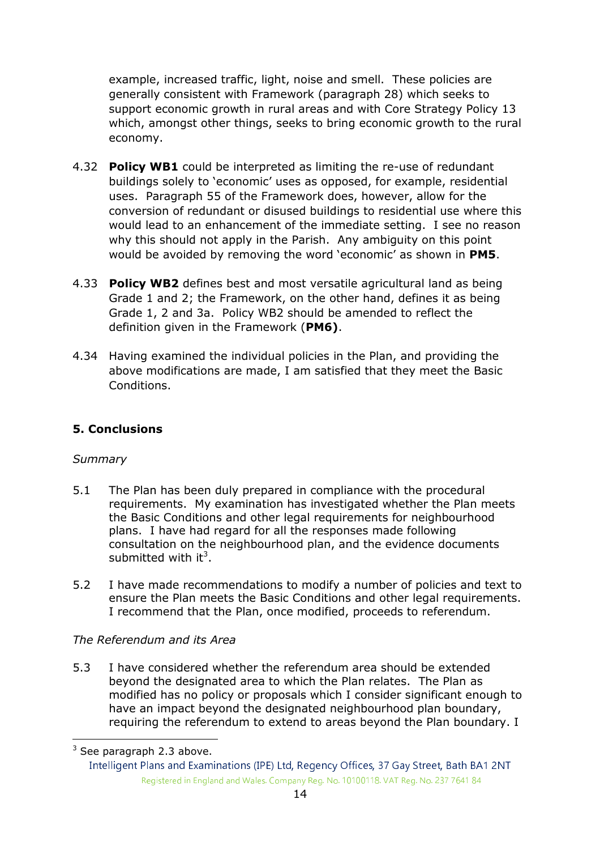example, increased traffic, light, noise and smell. These policies are generally consistent with Framework (paragraph 28) which seeks to support economic growth in rural areas and with Core Strategy Policy 13 which, amongst other things, seeks to bring economic growth to the rural economy.

- 4.32 **Policy WB1** could be interpreted as limiting the re-use of redundant buildings solely to 'economic' uses as opposed, for example, residential uses. Paragraph 55 of the Framework does, however, allow for the conversion of redundant or disused buildings to residential use where this would lead to an enhancement of the immediate setting. I see no reason why this should not apply in the Parish. Any ambiguity on this point would be avoided by removing the word 'economic' as shown in PM5.
- 4.33 Policy WB2 defines best and most versatile agricultural land as being Grade 1 and 2; the Framework, on the other hand, defines it as being Grade 1, 2 and 3a. Policy WB2 should be amended to reflect the definition given in the Framework (PM6).
- 4.34 Having examined the individual policies in the Plan, and providing the above modifications are made, I am satisfied that they meet the Basic Conditions.

## 5. Conclusions

## **Summary**

- 5.1 The Plan has been duly prepared in compliance with the procedural requirements. My examination has investigated whether the Plan meets the Basic Conditions and other legal requirements for neighbourhood plans. I have had regard for all the responses made following consultation on the neighbourhood plan, and the evidence documents submitted with it<sup>3</sup>.
- 5.2 I have made recommendations to modify a number of policies and text to ensure the Plan meets the Basic Conditions and other legal requirements. I recommend that the Plan, once modified, proceeds to referendum.

## The Referendum and its Area

5.3 I have considered whether the referendum area should be extended beyond the designated area to which the Plan relates. The Plan as modified has no policy or proposals which I consider significant enough to have an impact beyond the designated neighbourhood plan boundary, requiring the referendum to extend to areas beyond the Plan boundary. I

<sup>&</sup>lt;u>.</u><br><sup>3</sup> See paragraph 2.3 above.

Intelligent Plans and Examinations (IPE) Ltd, Regency Offices, 37 Gay Street, Bath BA1 2NT Registered in England and Wales. Company Reg. No. 10100118. VAT Reg. No. 237 7641 84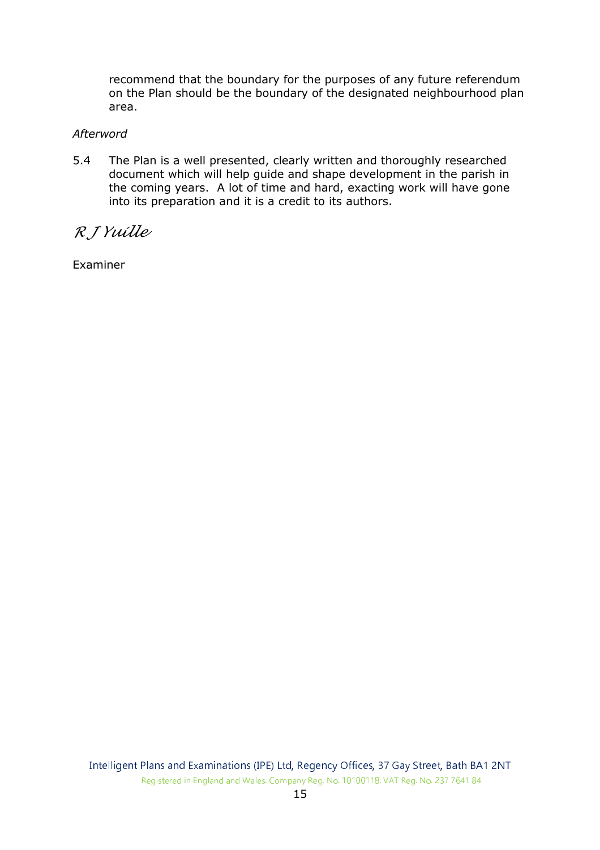recommend that the boundary for the purposes of any future referendum on the Plan should be the boundary of the designated neighbourhood plan area.

#### Afterword

5.4 The Plan is a well presented, clearly written and thoroughly researched document which will help guide and shape development in the parish in the coming years. A lot of time and hard, exacting work will have gone into its preparation and it is a credit to its authors.

R J Yuille

Examiner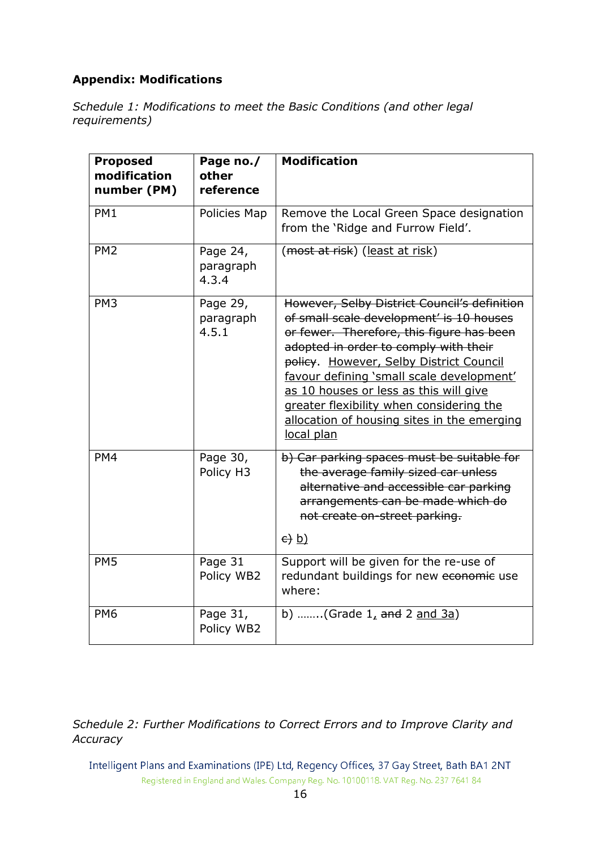# Appendix: Modifications

Schedule 1: Modifications to meet the Basic Conditions (and other legal requirements)

| <b>Proposed</b><br>modification<br>number (PM) | Page no./<br>other<br>reference | <b>Modification</b>                                                                                                                                                                                                                                                                                                                                                                                                       |
|------------------------------------------------|---------------------------------|---------------------------------------------------------------------------------------------------------------------------------------------------------------------------------------------------------------------------------------------------------------------------------------------------------------------------------------------------------------------------------------------------------------------------|
| PM1                                            | Policies Map                    | Remove the Local Green Space designation<br>from the 'Ridge and Furrow Field'.                                                                                                                                                                                                                                                                                                                                            |
| PM <sub>2</sub>                                | Page 24,<br>paragraph<br>4.3.4  | (most at risk) (least at risk)                                                                                                                                                                                                                                                                                                                                                                                            |
| PM <sub>3</sub>                                | Page 29,<br>paragraph<br>4.5.1  | However, Selby District Council's definition<br>of small scale development' is 10 houses<br>or fewer. Therefore, this figure has been<br>adopted in order to comply with their<br>policy. However, Selby District Council<br>favour defining 'small scale development'<br>as 10 houses or less as this will give<br>greater flexibility when considering the<br>allocation of housing sites in the emerging<br>local plan |
| PM4                                            | Page 30,<br>Policy H3           | b) Car parking spaces must be suitable for<br>the average family sized car unless<br>alternative and accessible car parking<br>arrangements can be made which do<br>not create on-street parking.<br>$\left(\frac{e}{b}\right)$                                                                                                                                                                                           |
| PM <sub>5</sub>                                | Page 31<br>Policy WB2           | Support will be given for the re-use of<br>redundant buildings for new economic use<br>where:                                                                                                                                                                                                                                                                                                                             |
| PM <sub>6</sub>                                | Page 31,<br>Policy WB2          | b) (Grade $1,$ and 2 and 3a)                                                                                                                                                                                                                                                                                                                                                                                              |

## Schedule 2: Further Modifications to Correct Errors and to Improve Clarity and **Accuracy**